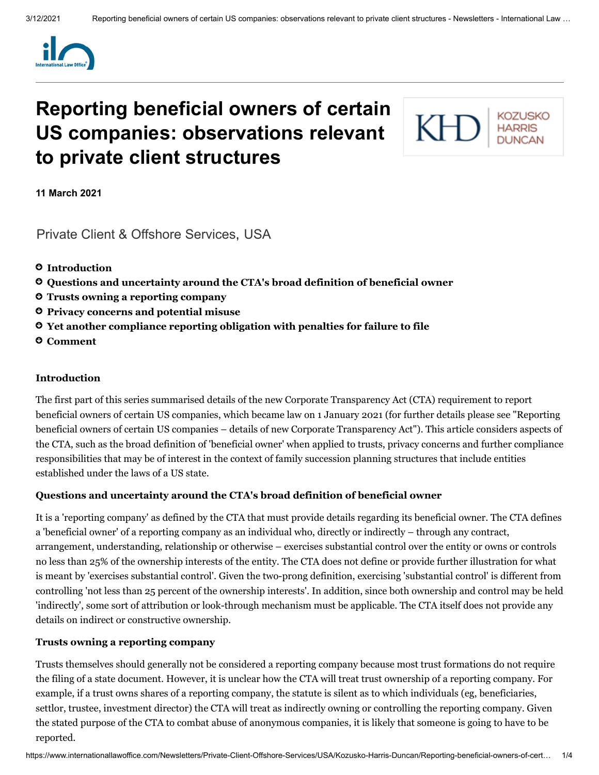

# **Reporting beneficial owners of certain US companies: observations relevant to private client structures**

**KOZUSKO** KН

**11 March 2021**

[Private Client & Offshore Services,](https://www.internationallawoffice.com/Search?at=Updates&cfn=Kozusko+Harris+Duncan&ws=Private+Client+%26+Offshore+Services) [USA](https://www.internationallawoffice.com/Search?at=Updates&cfn=Kozusko+Harris+Duncan&js=USA)

- **[Introduction](#page-0-0)**
- **[Questions and](#page-0-1) uncertainty around the CTA's broad definition of beneficial owner**
- **[Trusts owning](#page-0-2) a reporting company**
- **Privacy [concerns and](#page-1-0) potential misuse**
- **Yet another compliance reporting obligation with [penalties for](#page-2-0) failure to file**
- **[Comment](#page-3-0)**

## <span id="page-0-0"></span>**Introduction**

The first part of this series summarised details of the new Corporate Transparency Act (CTA) requirement to report beneficial owners of certain US companies, which became law on 1 January 2021 (for further details please see "Reporting beneficial owners of certain US companies – details of new Corporate [Transparency](https://www.internationallawoffice.com/Newsletters/Private-Client-Offshore-Services/USA/Kozusko-Harris-Duncan/Reporting-beneficial-owners-of-certain-US-companies-details-of-new-Corporate-Transparency-Act) Act"). This article considers aspects of the CTA, such as the broad definition of 'beneficial owner' when applied to trusts, privacy concerns and further compliance responsibilities that may be of interest in the context of family succession planning structures that include entities established under the laws of a US state.

#### <span id="page-0-1"></span>**Questions and uncertainty around the CTA's broad definition of beneficial owner**

It is a 'reporting company' as defined by the CTA that must provide details regarding its beneficial owner. The CTA defines a 'beneficial owner' of a reporting company as an individual who, directly or indirectly – through any contract, arrangement, understanding, relationship or otherwise – exercises substantial control over the entity or owns or controls no less than 25% of the ownership interests of the entity. The CTA does not define or provide further illustration for what is meant by 'exercises substantial control'. Given the two-prong definition, exercising 'substantial control' is different from controlling 'not less than 25 percent of the ownership interests'. In addition, since both ownership and control may be held 'indirectly', some sort of attribution or look-through mechanism must be applicable. The CTA itself does not provide any details on indirect or constructive ownership.

#### <span id="page-0-2"></span>**Trusts owning a reporting company**

Trusts themselves should generally not be considered a reporting company because most trust formations do not require the filing of a state document. However, it is unclear how the CTA will treat trust ownership of a reporting company. For example, if a trust owns shares of a reporting company, the statute is silent as to which individuals (eg, beneficiaries, settlor, trustee, investment director) the CTA will treat as indirectly owning or controlling the reporting company. Given the stated purpose of the CTA to combat abuse of anonymous companies, it is likely that someone is going to have to be reported.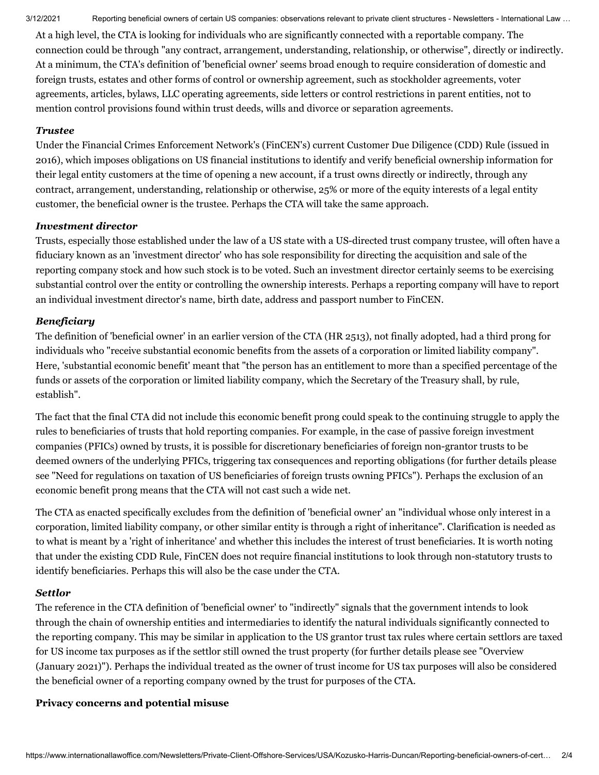3/12/2021 Reporting beneficial owners of certain US companies: observations relevant to private client structures - Newsletters - International Law …

At a high level, the CTA is looking for individuals who are significantly connected with a reportable company. The connection could be through "any contract, arrangement, understanding, relationship, or otherwise", directly or indirectly. At a minimum, the CTA's definition of 'beneficial owner' seems broad enough to require consideration of domestic and foreign trusts, estates and other forms of control or ownership agreement, such as stockholder agreements, voter agreements, articles, bylaws, LLC operating agreements, side letters or control restrictions in parent entities, not to mention control provisions found within trust deeds, wills and divorce or separation agreements.

## *Trustee*

Under the Financial Crimes Enforcement Network's (FinCEN's) current Customer Due Diligence (CDD) Rule (issued in 2016), which imposes obligations on US financial institutions to identify and verify beneficial ownership information for their legal entity customers at the time of opening a new account, if a trust owns directly or indirectly, through any contract, arrangement, understanding, relationship or otherwise, 25% or more of the equity interests of a legal entity customer, the beneficial owner is the trustee. Perhaps the CTA will take the same approach.

# *Investment director*

Trusts, especially those established under the law of a US state with a US-directed trust company trustee, will often have a fiduciary known as an 'investment director' who has sole responsibility for directing the acquisition and sale of the reporting company stock and how such stock is to be voted. Such an investment director certainly seems to be exercising substantial control over the entity or controlling the ownership interests. Perhaps a reporting company will have to report an individual investment director's name, birth date, address and passport number to FinCEN.

# *Beneficiary*

The definition of 'beneficial owner' in an earlier version of the CTA (HR 2513), not finally adopted, had a third prong for individuals who "receive substantial economic benefits from the assets of a corporation or limited liability company". Here, 'substantial economic benefit' meant that "the person has an entitlement to more than a specified percentage of the funds or assets of the corporation or limited liability company, which the Secretary of the Treasury shall, by rule, establish".

The fact that the final CTA did not include this economic benefit prong could speak to the continuing struggle to apply the rules to beneficiaries of trusts that hold reporting companies. For example, in the case of passive foreign investment companies (PFICs) owned by trusts, it is possible for discretionary beneficiaries of foreign non-grantor trusts to be deemed owners of the underlying PFICs, triggering tax consequences and reporting obligations (for further details please see "Need for regulations on taxation of US [beneficiaries](https://www.internationallawoffice.com/Newsletters/Offshore-Services/USA/Kozusko-Harris-Vetter-Wareh-LLP/Need-for-regulations-on-taxation-of-US-beneficiaries-of-foreign-trusts-owning-PFICs) of foreign trusts owning PFICs"). Perhaps the exclusion of an economic benefit prong means that the CTA will not cast such a wide net.

The CTA as enacted specifically excludes from the definition of 'beneficial owner' an "individual whose only interest in a corporation, limited liability company, or other similar entity is through a right of inheritance". Clarification is needed as to what is meant by a 'right of inheritance' and whether this includes the interest of trust beneficiaries. It is worth noting that under the existing CDD Rule, FinCEN does not require financial institutions to look through non-statutory trusts to identify beneficiaries. Perhaps this will also be the case under the CTA.

# *Settlor*

The reference in the CTA definition of 'beneficial owner' to "indirectly" signals that the government intends to look through the chain of ownership entities and intermediaries to identify the natural individuals significantly connected to the reporting company. This may be similar in application to the US grantor trust tax rules where certain settlors are taxed for US income tax purposes as if the settlor still owned the trust property (for further details please see ["Overview](https://www.internationallawoffice.com/Newsletters/Private-Client-Offshore-Services/USA/Kozusko-Harris-Duncan/Overview-January-2021) (January 2021)"). Perhaps the individual treated as the owner of trust income for US tax purposes will also be considered the beneficial owner of a reporting company owned by the trust for purposes of the CTA.

## <span id="page-1-0"></span>**Privacy concerns and potential misuse**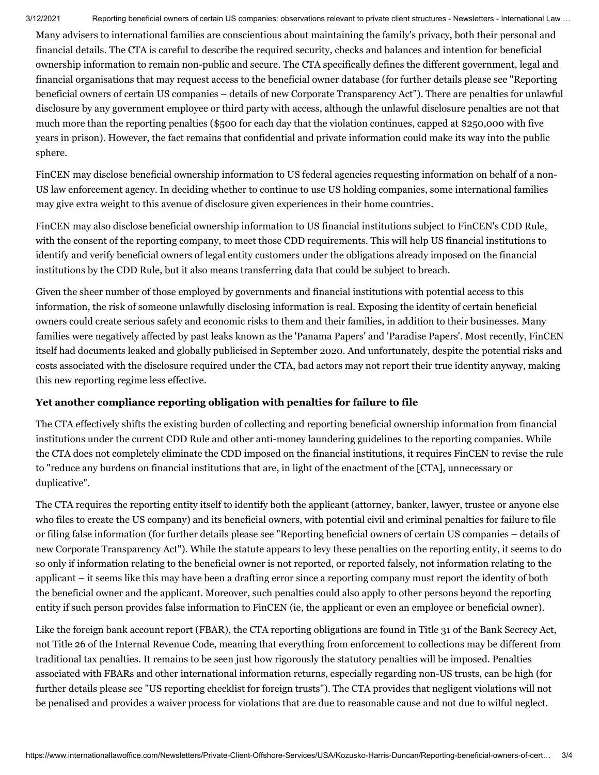Many advisers to international families are conscientious about maintaining the family's privacy, both their personal and financial details. The CTA is careful to describe the required security, checks and balances and intention for beneficial ownership information to remain non-public and secure. The CTA specifically defines the different government, legal and financial organisations that may request access to the beneficial owner database (for further details please see "Reporting beneficial owners of certain US companies – details of new Corporate [Transparency](https://www.internationallawoffice.com/Newsletters/Private-Client-Offshore-Services/USA/Kozusko-Harris-Duncan/Reporting-beneficial-owners-of-certain-US-companies-details-of-new-Corporate-Transparency-Act) Act"). There are penalties for unlawful disclosure by any government employee or third party with access, although the unlawful disclosure penalties are not that much more than the reporting penalties (\$500 for each day that the violation continues, capped at \$250,000 with five years in prison). However, the fact remains that confidential and private information could make its way into the public sphere.

FinCEN may disclose beneficial ownership information to US federal agencies requesting information on behalf of a non-US law enforcement agency. In deciding whether to continue to use US holding companies, some international families may give extra weight to this avenue of disclosure given experiences in their home countries.

FinCEN may also disclose beneficial ownership information to US financial institutions subject to FinCEN's CDD Rule, with the consent of the reporting company, to meet those CDD requirements. This will help US financial institutions to identify and verify beneficial owners of legal entity customers under the obligations already imposed on the financial institutions by the CDD Rule, but it also means transferring data that could be subject to breach.

Given the sheer number of those employed by governments and financial institutions with potential access to this information, the risk of someone unlawfully disclosing information is real. Exposing the identity of certain beneficial owners could create serious safety and economic risks to them and their families, in addition to their businesses. Many families were negatively affected by past leaks known as the 'Panama Papers' and 'Paradise Papers'. Most recently, FinCEN itself had documents leaked and globally publicised in September 2020. And unfortunately, despite the potential risks and costs associated with the disclosure required under the CTA, bad actors may not report their true identity anyway, making this new reporting regime less effective.

# <span id="page-2-0"></span>**Yet another compliance reporting obligation with penalties for failure to file**

The CTA effectively shifts the existing burden of collecting and reporting beneficial ownership information from financial institutions under the current CDD Rule and other anti-money laundering guidelines to the reporting companies. While the CTA does not completely eliminate the CDD imposed on the financial institutions, it requires FinCEN to revise the rule to "reduce any burdens on financial institutions that are, in light of the enactment of the [CTA], unnecessary or duplicative".

The CTA requires the reporting entity itself to identify both the applicant (attorney, banker, lawyer, trustee or anyone else who files to create the US company) and its beneficial owners, with potential civil and criminal penalties for failure to file or filing false information (for further details please see "Reporting beneficial owners of certain US companies – details of new Corporate [Transparency](https://www.internationallawoffice.com/Newsletters/Private-Client-Offshore-Services/USA/Kozusko-Harris-Duncan/Reporting-beneficial-owners-of-certain-US-companies-details-of-new-Corporate-Transparency-Act) Act"). While the statute appears to levy these penalties on the reporting entity, it seems to do so only if information relating to the beneficial owner is not reported, or reported falsely, not information relating to the applicant – it seems like this may have been a drafting error since a reporting company must report the identity of both the beneficial owner and the applicant. Moreover, such penalties could also apply to other persons beyond the reporting entity if such person provides false information to FinCEN (ie, the applicant or even an employee or beneficial owner).

Like the foreign bank account report (FBAR), the CTA reporting obligations are found in Title 31 of the Bank Secrecy Act, not Title 26 of the Internal Revenue Code, meaning that everything from enforcement to collections may be different from traditional tax penalties. It remains to be seen just how rigorously the statutory penalties will be imposed. Penalties associated with FBARs and other international information returns, especially regarding non-US trusts, can be high (for further details please see "US [reporting](https://www.internationallawoffice.com/Newsletters/Private-Client-Offshore-Services/USA/Kozusko-Harris-Duncan/US-reporting-checklist-for-foreign-trusts) checklist for foreign trusts"). The CTA provides that negligent violations will not be penalised and provides a waiver process for violations that are due to reasonable cause and not due to wilful neglect.